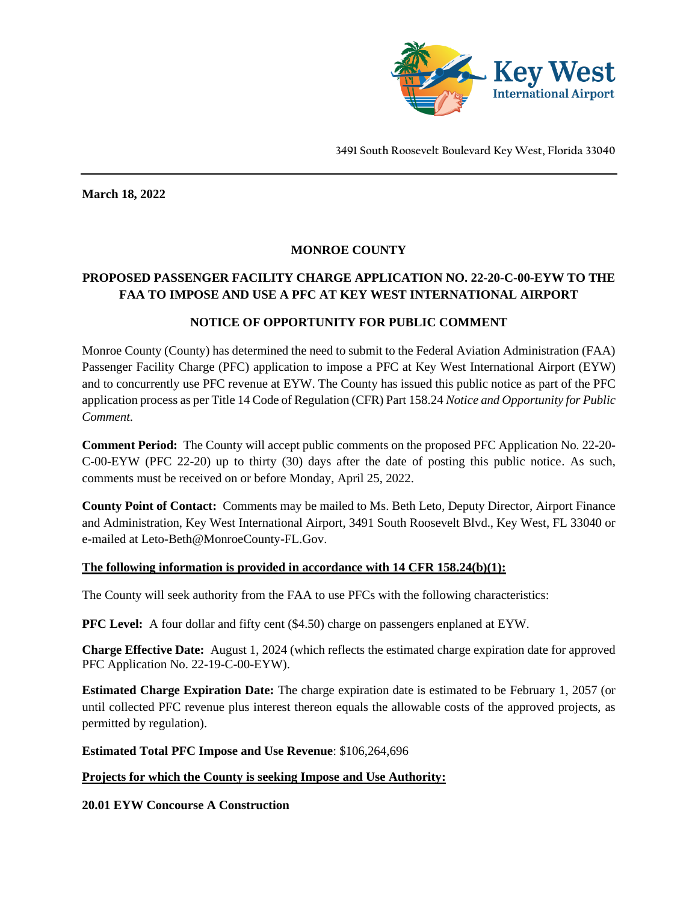

**March 18, 2022**

### **MONROE COUNTY**

# **PROPOSED PASSENGER FACILITY CHARGE APPLICATION NO. 22-20-C-00-EYW TO THE FAA TO IMPOSE AND USE A PFC AT KEY WEST INTERNATIONAL AIRPORT**

### **NOTICE OF OPPORTUNITY FOR PUBLIC COMMENT**

Monroe County (County) has determined the need to submit to the Federal Aviation Administration (FAA) Passenger Facility Charge (PFC) application to impose a PFC at Key West International Airport (EYW) and to concurrently use PFC revenue at EYW. The County has issued this public notice as part of the PFC application process as per Title 14 Code of Regulation (CFR) Part 158.24 *Notice and Opportunity for Public Comment.*

**Comment Period:** The County will accept public comments on the proposed PFC Application No. 22-20- C-00-EYW (PFC 22-20) up to thirty (30) days after the date of posting this public notice. As such, comments must be received on or before Monday, April 25, 2022.

**County Point of Contact:** Comments may be mailed to Ms. Beth Leto, Deputy Director, Airport Finance and Administration, Key West International Airport, 3491 South Roosevelt Blvd., Key West, FL 33040 or e-mailed at Leto-Beth@MonroeCounty-FL.Gov.

### **The following information is provided in accordance with 14 CFR 158.24(b)(1):**

The County will seek authority from the FAA to use PFCs with the following characteristics:

**PFC Level:** A four dollar and fifty cent (\$4.50) charge on passengers enplaned at EYW.

**Charge Effective Date:** August 1, 2024 (which reflects the estimated charge expiration date for approved PFC Application No. 22-19-C-00-EYW).

**Estimated Charge Expiration Date:** The charge expiration date is estimated to be February 1, 2057 (or until collected PFC revenue plus interest thereon equals the allowable costs of the approved projects, as permitted by regulation).

**Estimated Total PFC Impose and Use Revenue**: \$106,264,696

### **Projects for which the County is seeking Impose and Use Authority:**

**20.01 EYW Concourse A Construction**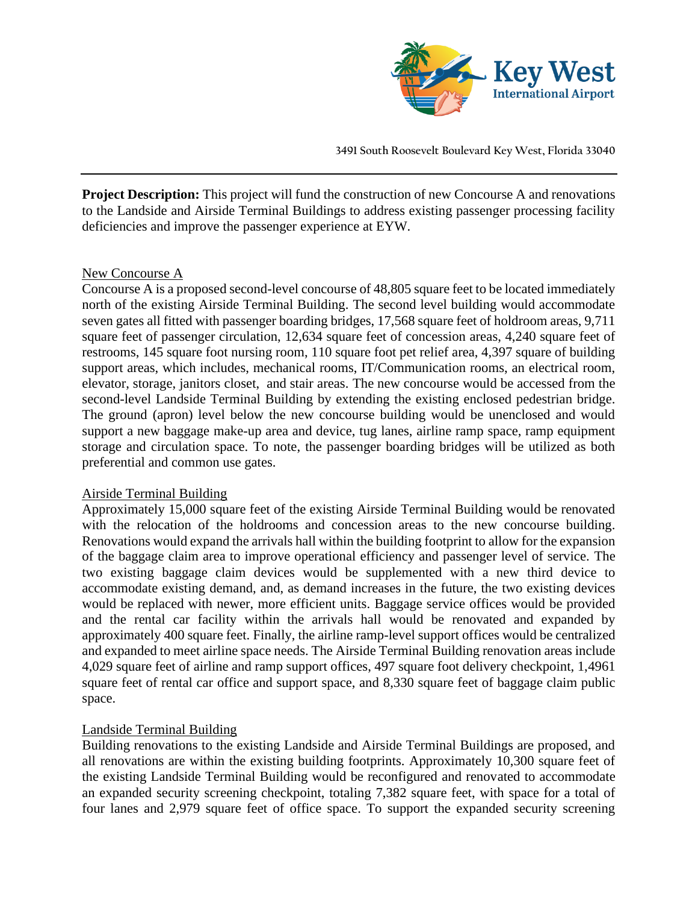

**Project Description:** This project will fund the construction of new Concourse A and renovations to the Landside and Airside Terminal Buildings to address existing passenger processing facility deficiencies and improve the passenger experience at EYW.

### New Concourse A

Concourse A is a proposed second-level concourse of 48,805 square feet to be located immediately north of the existing Airside Terminal Building. The second level building would accommodate seven gates all fitted with passenger boarding bridges, 17,568 square feet of holdroom areas, 9,711 square feet of passenger circulation, 12,634 square feet of concession areas, 4,240 square feet of restrooms, 145 square foot nursing room, 110 square foot pet relief area, 4,397 square of building support areas, which includes, mechanical rooms, IT/Communication rooms, an electrical room, elevator, storage, janitors closet, and stair areas. The new concourse would be accessed from the second-level Landside Terminal Building by extending the existing enclosed pedestrian bridge. The ground (apron) level below the new concourse building would be unenclosed and would support a new baggage make-up area and device, tug lanes, airline ramp space, ramp equipment storage and circulation space. To note, the passenger boarding bridges will be utilized as both preferential and common use gates.

# Airside Terminal Building

Approximately 15,000 square feet of the existing Airside Terminal Building would be renovated with the relocation of the holdrooms and concession areas to the new concourse building. Renovations would expand the arrivals hall within the building footprint to allow for the expansion of the baggage claim area to improve operational efficiency and passenger level of service. The two existing baggage claim devices would be supplemented with a new third device to accommodate existing demand, and, as demand increases in the future, the two existing devices would be replaced with newer, more efficient units. Baggage service offices would be provided and the rental car facility within the arrivals hall would be renovated and expanded by approximately 400 square feet. Finally, the airline ramp-level support offices would be centralized and expanded to meet airline space needs. The Airside Terminal Building renovation areas include 4,029 square feet of airline and ramp support offices, 497 square foot delivery checkpoint, 1,4961 square feet of rental car office and support space, and 8,330 square feet of baggage claim public space.

# Landside Terminal Building

Building renovations to the existing Landside and Airside Terminal Buildings are proposed, and all renovations are within the existing building footprints. Approximately 10,300 square feet of the existing Landside Terminal Building would be reconfigured and renovated to accommodate an expanded security screening checkpoint, totaling 7,382 square feet, with space for a total of four lanes and 2,979 square feet of office space. To support the expanded security screening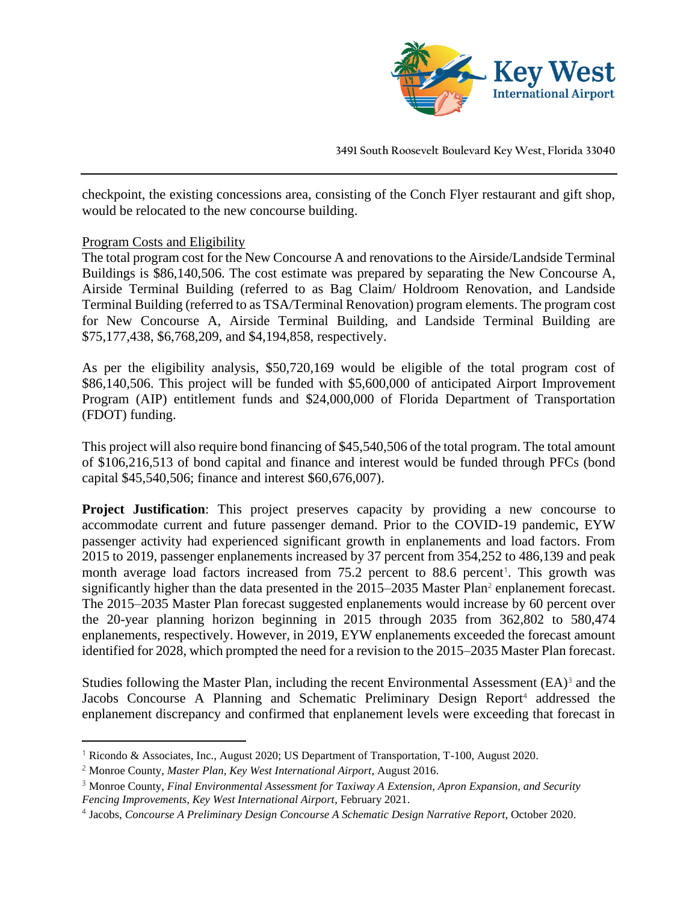

checkpoint, the existing concessions area, consisting of the Conch Flyer restaurant and gift shop, would be relocated to the new concourse building.

### Program Costs and Eligibility

The total program cost for the New Concourse A and renovations to the Airside/Landside Terminal Buildings is \$86,140,506. The cost estimate was prepared by separating the New Concourse A, Airside Terminal Building (referred to as Bag Claim/ Holdroom Renovation, and Landside Terminal Building (referred to as TSA/Terminal Renovation) program elements. The program cost for New Concourse A, Airside Terminal Building, and Landside Terminal Building are \$75,177,438, \$6,768,209, and \$4,194,858, respectively.

As per the eligibility analysis, \$50,720,169 would be eligible of the total program cost of \$86,140,506. This project will be funded with \$5,600,000 of anticipated Airport Improvement Program (AIP) entitlement funds and \$24,000,000 of Florida Department of Transportation (FDOT) funding.

This project will also require bond financing of \$45,540,506 of the total program. The total amount of \$106,216,513 of bond capital and finance and interest would be funded through PFCs (bond capital \$45,540,506; finance and interest \$60,676,007).

**Project Justification:** This project preserves capacity by providing a new concourse to accommodate current and future passenger demand. Prior to the COVID-19 pandemic, EYW passenger activity had experienced significant growth in enplanements and load factors. From 2015 to 2019, passenger enplanements increased by 37 percent from 354,252 to 486,139 and peak month average load factors increased from 75.2 percent to 88.6 percent<sup>1</sup>. This growth was significantly higher than the data presented in the 2015–2035 Master Plan<sup>2</sup> enplanement forecast. The 2015–2035 Master Plan forecast suggested enplanements would increase by 60 percent over the 20-year planning horizon beginning in 2015 through 2035 from 362,802 to 580,474 enplanements, respectively. However, in 2019, EYW enplanements exceeded the forecast amount identified for 2028, which prompted the need for a revision to the 2015–2035 Master Plan forecast.

Studies following the Master Plan, including the recent Environmental Assessment  $(EA)^3$  and the Jacobs Concourse A Planning and Schematic Preliminary Design Report<sup>4</sup> addressed the enplanement discrepancy and confirmed that enplanement levels were exceeding that forecast in

<sup>1</sup> Ricondo & Associates, Inc., August 2020; US Department of Transportation, T-100, August 2020.

<sup>2</sup> Monroe County, *Master Plan, Key West International Airport*, August 2016.

<sup>3</sup> Monroe County, *Final Environmental Assessment for Taxiway A Extension, Apron Expansion, and Security Fencing Improvements, Key West International Airport*, February 2021.

<sup>4</sup> Jacobs, *Concourse A Preliminary Design Concourse A Schematic Design Narrative Report*, October 2020.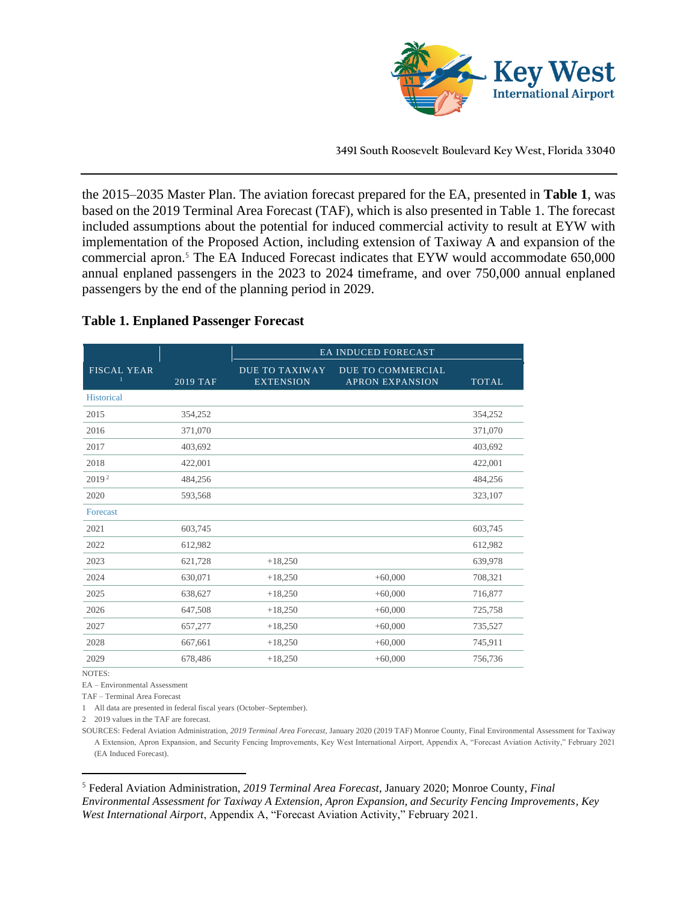

the 2015–2035 Master Plan. The aviation forecast prepared for the EA, presented in **Table 1**, was based on the 2019 Terminal Area Forecast (TAF), which is also presented in Table 1. The forecast included assumptions about the potential for induced commercial activity to result at EYW with implementation of the Proposed Action, including extension of Taxiway A and expansion of the commercial apron.<sup>5</sup> The EA Induced Forecast indicates that EYW would accommodate 650,000 annual enplaned passengers in the 2023 to 2024 timeframe, and over 750,000 annual enplaned passengers by the end of the planning period in 2029.

### **Table 1. Enplaned Passenger Forecast**

|                    |                 | <b>EA INDUCED FORECAST</b>                |                                                    |              |  |  |
|--------------------|-----------------|-------------------------------------------|----------------------------------------------------|--------------|--|--|
| <b>FISCAL YEAR</b> | <b>2019 TAF</b> | <b>DUE TO TAXIWAY</b><br><b>EXTENSION</b> | <b>DUE TO COMMERCIAL</b><br><b>APRON EXPANSION</b> | <b>TOTAL</b> |  |  |
| <b>Historical</b>  |                 |                                           |                                                    |              |  |  |
| 2015               | 354,252         |                                           |                                                    | 354,252      |  |  |
| 2016               | 371,070         |                                           |                                                    | 371,070      |  |  |
| 2017               | 403,692         |                                           |                                                    | 403,692      |  |  |
| 2018               | 422,001         |                                           |                                                    | 422,001      |  |  |
| 2019 <sup>2</sup>  | 484,256         |                                           |                                                    | 484,256      |  |  |
| 2020               | 593,568         |                                           |                                                    | 323,107      |  |  |
| Forecast           |                 |                                           |                                                    |              |  |  |
| 2021               | 603,745         |                                           |                                                    | 603,745      |  |  |
| 2022               | 612,982         |                                           |                                                    | 612,982      |  |  |
| 2023               | 621,728         | $+18,250$                                 |                                                    | 639,978      |  |  |
| 2024               | 630,071         | $+18,250$                                 | $+60,000$                                          | 708,321      |  |  |
| 2025               | 638,627         | $+18,250$                                 | $+60,000$                                          | 716,877      |  |  |
| 2026               | 647,508         | $+18,250$                                 | $+60,000$                                          | 725,758      |  |  |
| 2027               | 657,277         | $+18,250$                                 | $+60,000$                                          | 735,527      |  |  |
| 2028               | 667,661         | $+18,250$                                 | $+60,000$                                          | 745,911      |  |  |
| 2029               | 678,486         | $+18,250$                                 | $+60,000$                                          | 756,736      |  |  |

NOTES:

EA – Environmental Assessment

TAF – Terminal Area Forecast

1 All data are presented in federal fiscal years (October–September).

2 2019 values in the TAF are forecast.

SOURCES: Federal Aviation Administration, *2019 Terminal Area Forecast*, January 2020 (2019 TAF) Monroe County, Final Environmental Assessment for Taxiway A Extension, Apron Expansion, and Security Fencing Improvements, Key West International Airport, Appendix A, "Forecast Aviation Activity," February 2021 (EA Induced Forecast).

<sup>5</sup> Federal Aviation Administration, *2019 Terminal Area Forecast*, January 2020; Monroe County, *Final Environmental Assessment for Taxiway A Extension, Apron Expansion, and Security Fencing Improvements, Key West International Airport*, Appendix A, "Forecast Aviation Activity," February 2021.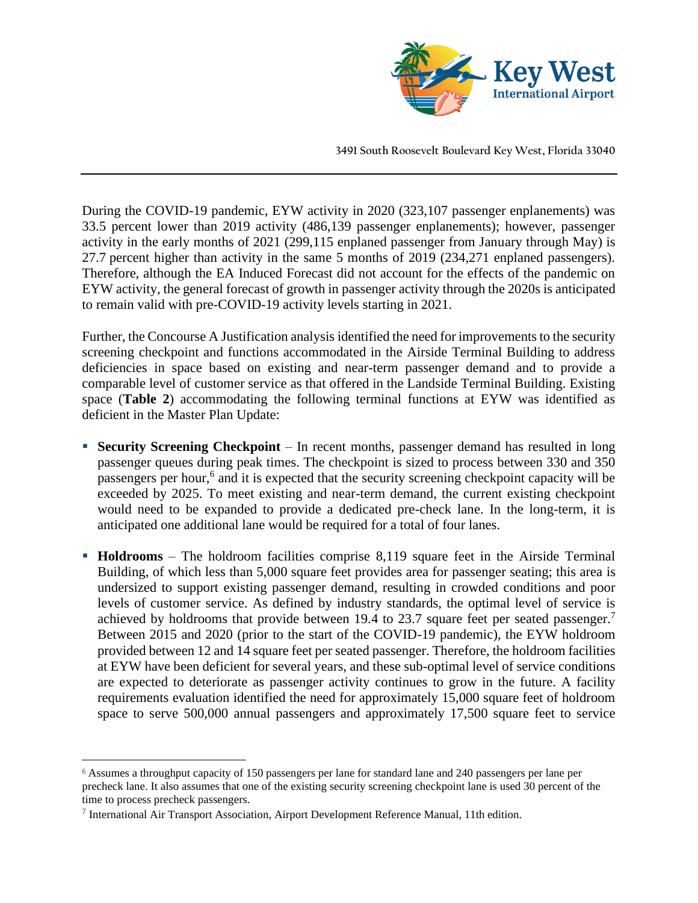

During the COVID-19 pandemic, EYW activity in 2020 (323,107 passenger enplanements) was 33.5 percent lower than 2019 activity (486,139 passenger enplanements); however, passenger activity in the early months of 2021 (299,115 enplaned passenger from January through May) is 27.7 percent higher than activity in the same 5 months of 2019 (234,271 enplaned passengers). Therefore, although the EA Induced Forecast did not account for the effects of the pandemic on EYW activity, the general forecast of growth in passenger activity through the 2020s is anticipated to remain valid with pre-COVID-19 activity levels starting in 2021.

Further, the Concourse A Justification analysis identified the need for improvements to the security screening checkpoint and functions accommodated in the Airside Terminal Building to address deficiencies in space based on existing and near-term passenger demand and to provide a comparable level of customer service as that offered in the Landside Terminal Building. Existing space (**Table 2**) accommodating the following terminal functions at EYW was identified as deficient in the Master Plan Update:

- **Execurity Screening Checkpoint** In recent months, passenger demand has resulted in long passenger queues during peak times. The checkpoint is sized to process between 330 and 350 passengers per hour,<sup>6</sup> and it is expected that the security screening checkpoint capacity will be exceeded by 2025. To meet existing and near-term demand, the current existing checkpoint would need to be expanded to provide a dedicated pre-check lane. In the long-term, it is anticipated one additional lane would be required for a total of four lanes.
- **Holdrooms** The holdroom facilities comprise 8,119 square feet in the Airside Terminal Building, of which less than 5,000 square feet provides area for passenger seating; this area is undersized to support existing passenger demand, resulting in crowded conditions and poor levels of customer service. As defined by industry standards, the optimal level of service is achieved by holdrooms that provide between 19.4 to 23.7 square feet per seated passenger.<sup>7</sup> Between 2015 and 2020 (prior to the start of the COVID-19 pandemic), the EYW holdroom provided between 12 and 14 square feet per seated passenger. Therefore, the holdroom facilities at EYW have been deficient for several years, and these sub-optimal level of service conditions are expected to deteriorate as passenger activity continues to grow in the future. A facility requirements evaluation identified the need for approximately 15,000 square feet of holdroom space to serve 500,000 annual passengers and approximately 17,500 square feet to service

<sup>6</sup> Assumes a throughput capacity of 150 passengers per lane for standard lane and 240 passengers per lane per precheck lane. It also assumes that one of the existing security screening checkpoint lane is used 30 percent of the time to process precheck passengers.

 $<sup>7</sup>$  International Air Transport Association, Airport Development Reference Manual, 11th edition.</sup>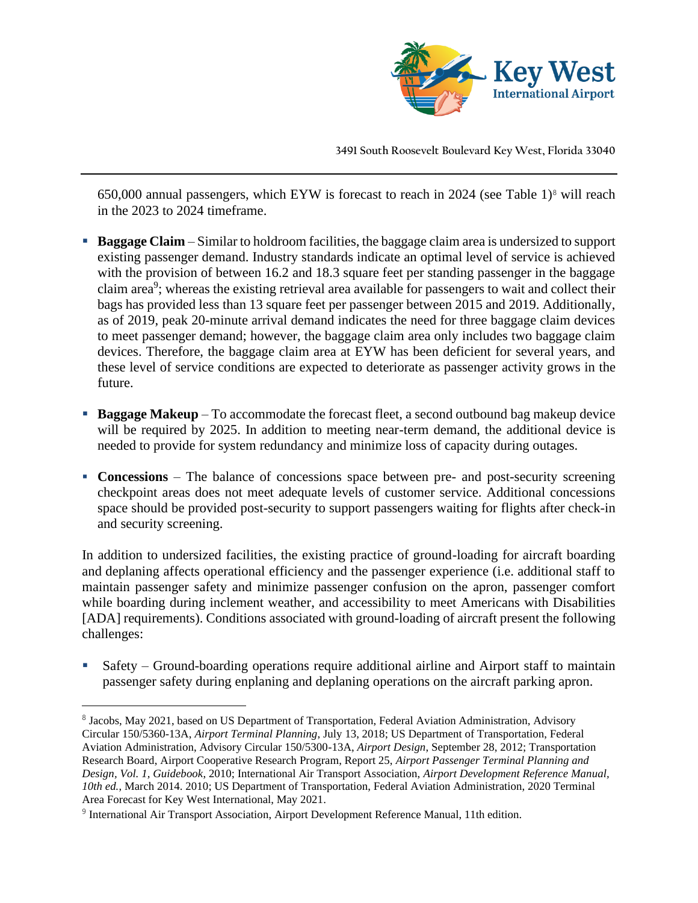

650,000 annual passengers, which EYW is forecast to reach in 2024 (see Table 1) $\degree$  will reach in the 2023 to 2024 timeframe.

- **Baggage Claim** Similar to holdroom facilities, the baggage claim area is undersized to support existing passenger demand. Industry standards indicate an optimal level of service is achieved with the provision of between 16.2 and 18.3 square feet per standing passenger in the baggage claim area<sup>9</sup>; whereas the existing retrieval area available for passengers to wait and collect their bags has provided less than 13 square feet per passenger between 2015 and 2019. Additionally, as of 2019, peak 20-minute arrival demand indicates the need for three baggage claim devices to meet passenger demand; however, the baggage claim area only includes two baggage claim devices. Therefore, the baggage claim area at EYW has been deficient for several years, and these level of service conditions are expected to deteriorate as passenger activity grows in the future.
- **Baggage Makeup** To accommodate the forecast fleet, a second outbound bag makeup device will be required by 2025. In addition to meeting near-term demand, the additional device is needed to provide for system redundancy and minimize loss of capacity during outages.
- **Concessions** The balance of concessions space between pre- and post-security screening checkpoint areas does not meet adequate levels of customer service. Additional concessions space should be provided post-security to support passengers waiting for flights after check-in and security screening.

In addition to undersized facilities, the existing practice of ground-loading for aircraft boarding and deplaning affects operational efficiency and the passenger experience (i.e. additional staff to maintain passenger safety and minimize passenger confusion on the apron, passenger comfort while boarding during inclement weather, and accessibility to meet Americans with Disabilities [ADA] requirements). Conditions associated with ground-loading of aircraft present the following challenges:

Safety – Ground-boarding operations require additional airline and Airport staff to maintain passenger safety during enplaning and deplaning operations on the aircraft parking apron.

<sup>&</sup>lt;sup>8</sup> Jacobs, May 2021, based on US Department of Transportation, Federal Aviation Administration, Advisory Circular 150/5360-13A, *Airport Terminal Planning*, July 13, 2018; US Department of Transportation, Federal Aviation Administration, Advisory Circular 150/5300-13A, *Airport Design*, September 28, 2012; Transportation Research Board, Airport Cooperative Research Program, Report 25, *Airport Passenger Terminal Planning and Design, Vol. 1, Guidebook*, 2010; International Air Transport Association, *Airport Development Reference Manual, 10th ed.*, March 2014. 2010; US Department of Transportation, Federal Aviation Administration, 2020 Terminal Area Forecast for Key West International, May 2021.

<sup>&</sup>lt;sup>9</sup> International Air Transport Association, Airport Development Reference Manual, 11th edition.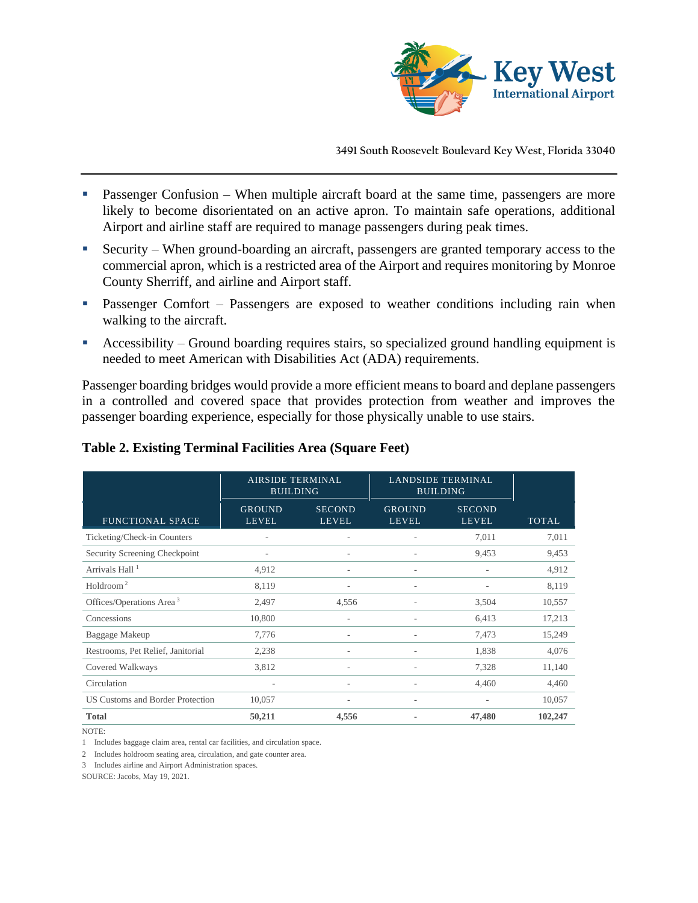

- Passenger Confusion When multiple aircraft board at the same time, passengers are more likely to become disorientated on an active apron. To maintain safe operations, additional Airport and airline staff are required to manage passengers during peak times.
- Security When ground-boarding an aircraft, passengers are granted temporary access to the commercial apron, which is a restricted area of the Airport and requires monitoring by Monroe County Sherriff, and airline and Airport staff.
- Passenger Comfort Passengers are exposed to weather conditions including rain when walking to the aircraft.
- Accessibility Ground boarding requires stairs, so specialized ground handling equipment is needed to meet American with Disabilities Act (ADA) requirements.

Passenger boarding bridges would provide a more efficient means to board and deplane passengers in a controlled and covered space that provides protection from weather and improves the passenger boarding experience, especially for those physically unable to use stairs.

|                                      | AIRSIDE TERMINAL<br><b>BUILDING</b> |                               | <b>LANDSIDE TERMINAL</b><br><b>BUILDING</b> |                               |              |
|--------------------------------------|-------------------------------------|-------------------------------|---------------------------------------------|-------------------------------|--------------|
| <b>FUNCTIONAL SPACE</b>              | <b>GROUND</b><br><b>LEVEL</b>       | <b>SECOND</b><br><b>LEVEL</b> | <b>GROUND</b><br><b>LEVEL</b>               | <b>SECOND</b><br><b>LEVEL</b> | <b>TOTAL</b> |
| Ticketing/Check-in Counters          |                                     |                               |                                             | 7,011                         | 7,011        |
| Security Screening Checkpoint        | $\qquad \qquad$                     | ٠                             |                                             | 9,453                         | 9,453        |
| Arrivals Hall <sup>1</sup>           | 4,912                               | ٠                             |                                             |                               | 4,912        |
| Holdroom <sup>2</sup>                | 8,119                               | ٠                             |                                             | $\overline{a}$                | 8,119        |
| Offices/Operations Area <sup>3</sup> | 2,497                               | 4,556                         |                                             | 3,504                         | 10,557       |
| Concessions                          | 10,800                              |                               |                                             | 6,413                         | 17,213       |
| Baggage Makeup                       | 7,776                               | ٠                             |                                             | 7,473                         | 15,249       |
| Restrooms, Pet Relief, Janitorial    | 2,238                               | ٠                             |                                             | 1,838                         | 4,076        |
| Covered Walkways                     | 3,812                               |                               |                                             | 7,328                         | 11,140       |
| Circulation                          | ٠                                   | ٠                             |                                             | 4,460                         | 4,460        |
| US Customs and Border Protection     | 10,057                              |                               |                                             | $\overline{a}$                | 10,057       |
| <b>Total</b>                         | 50,211                              | 4,556                         |                                             | 47,480                        | 102,247      |

### **Table 2. Existing Terminal Facilities Area (Square Feet)**

NOTE:

1 Includes baggage claim area, rental car facilities, and circulation space.

2 Includes holdroom seating area, circulation, and gate counter area.

3 Includes airline and Airport Administration spaces.

SOURCE: Jacobs, May 19, 2021.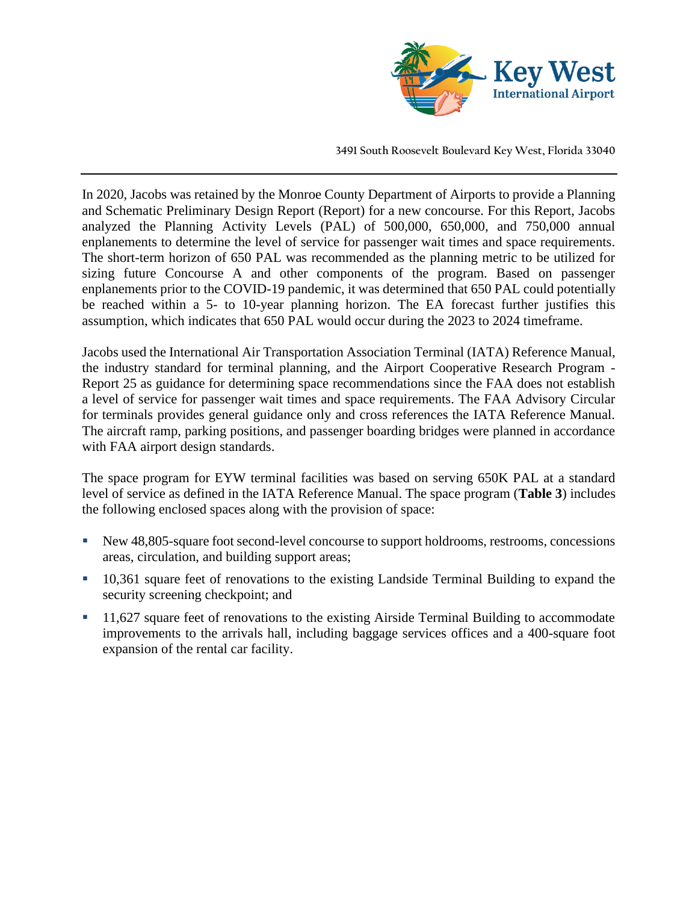

In 2020, Jacobs was retained by the Monroe County Department of Airports to provide a Planning and Schematic Preliminary Design Report (Report) for a new concourse. For this Report, Jacobs analyzed the Planning Activity Levels (PAL) of 500,000, 650,000, and 750,000 annual enplanements to determine the level of service for passenger wait times and space requirements. The short-term horizon of 650 PAL was recommended as the planning metric to be utilized for sizing future Concourse A and other components of the program. Based on passenger enplanements prior to the COVID-19 pandemic, it was determined that 650 PAL could potentially be reached within a 5- to 10-year planning horizon. The EA forecast further justifies this assumption, which indicates that 650 PAL would occur during the 2023 to 2024 timeframe.

Jacobs used the International Air Transportation Association Terminal (IATA) Reference Manual, the industry standard for terminal planning, and the Airport Cooperative Research Program - Report 25 as guidance for determining space recommendations since the FAA does not establish a level of service for passenger wait times and space requirements. The FAA Advisory Circular for terminals provides general guidance only and cross references the IATA Reference Manual. The aircraft ramp, parking positions, and passenger boarding bridges were planned in accordance with FAA airport design standards.

The space program for EYW terminal facilities was based on serving 650K PAL at a standard level of service as defined in the IATA Reference Manual. The space program (**Table 3**) includes the following enclosed spaces along with the provision of space:

- New 48,805-square foot second-level concourse to support holdrooms, restrooms, concessions areas, circulation, and building support areas;
- 10,361 square feet of renovations to the existing Landside Terminal Building to expand the security screening checkpoint; and
- 11,627 square feet of renovations to the existing Airside Terminal Building to accommodate improvements to the arrivals hall, including baggage services offices and a 400-square foot expansion of the rental car facility.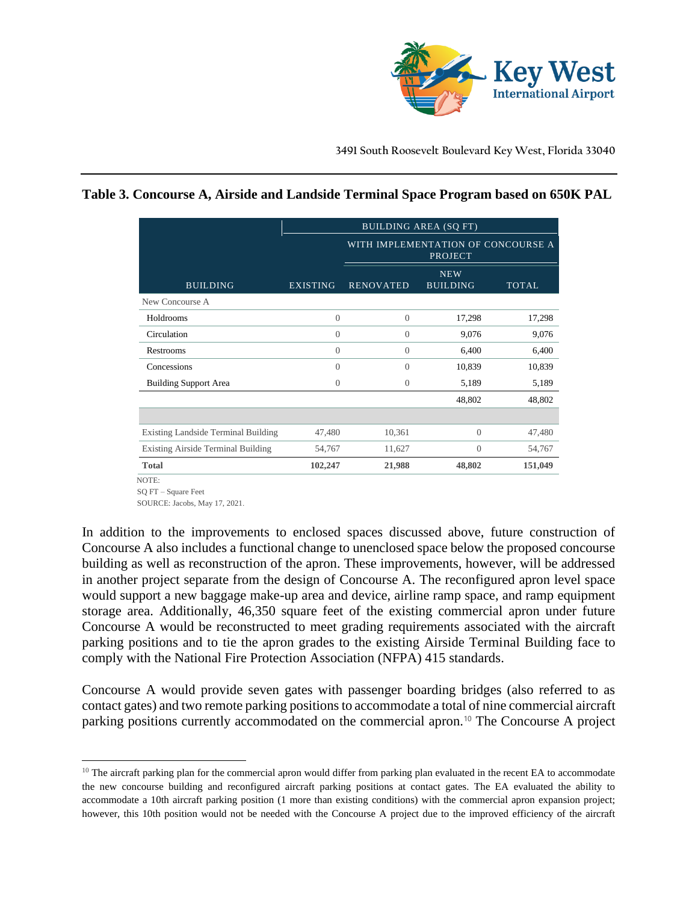

# **Table 3. Concourse A, Airside and Landside Terminal Space Program based on 650K PAL**

|                                     | <b>BUILDING AREA (SQ FT)</b> |                                                      |          |              |  |  |  |
|-------------------------------------|------------------------------|------------------------------------------------------|----------|--------------|--|--|--|
|                                     |                              | WITH IMPLEMENTATION OF CONCOURSE A<br><b>PROJECT</b> |          |              |  |  |  |
| <b>BUILDING</b>                     | <b>EXISTING</b>              | <b>NEW</b><br><b>RENOVATED</b><br><b>BUILDING</b>    |          | <b>TOTAL</b> |  |  |  |
| New Concourse A                     |                              |                                                      |          |              |  |  |  |
| Holdrooms                           | $\theta$                     | $\theta$                                             | 17,298   | 17,298       |  |  |  |
| Circulation                         | $\overline{0}$               | $\Omega$                                             | 9,076    | 9,076        |  |  |  |
| Restrooms                           | $\theta$                     | $\Omega$                                             | 6,400    | 6,400        |  |  |  |
| Concessions                         | $\theta$                     | $\Omega$                                             | 10,839   | 10,839       |  |  |  |
| <b>Building Support Area</b>        | $\Omega$                     | $\Omega$                                             | 5,189    | 5,189        |  |  |  |
|                                     |                              |                                                      | 48,802   | 48,802       |  |  |  |
|                                     |                              |                                                      |          |              |  |  |  |
| Existing Landside Terminal Building | 47,480                       | 10,361                                               | $\theta$ | 47,480       |  |  |  |
| Existing Airside Terminal Building  | 54,767                       | 11,627                                               | $\theta$ | 54,767       |  |  |  |
| <b>Total</b>                        | 102,247                      | 21,988                                               | 48,802   | 151,049      |  |  |  |

NOTE:

SOURCE: Jacobs, May 17, 2021.

In addition to the improvements to enclosed spaces discussed above, future construction of Concourse A also includes a functional change to unenclosed space below the proposed concourse building as well as reconstruction of the apron. These improvements, however, will be addressed in another project separate from the design of Concourse A. The reconfigured apron level space would support a new baggage make-up area and device, airline ramp space, and ramp equipment storage area. Additionally, 46,350 square feet of the existing commercial apron under future Concourse A would be reconstructed to meet grading requirements associated with the aircraft parking positions and to tie the apron grades to the existing Airside Terminal Building face to comply with the National Fire Protection Association (NFPA) 415 standards.

Concourse A would provide seven gates with passenger boarding bridges (also referred to as contact gates) and two remote parking positions to accommodate a total of nine commercial aircraft parking positions currently accommodated on the commercial apron.<sup>10</sup> The Concourse A project

SQ FT – Square Feet

 $10$  The aircraft parking plan for the commercial apron would differ from parking plan evaluated in the recent EA to accommodate the new concourse building and reconfigured aircraft parking positions at contact gates. The EA evaluated the ability to accommodate a 10th aircraft parking position (1 more than existing conditions) with the commercial apron expansion project; however, this 10th position would not be needed with the Concourse A project due to the improved efficiency of the aircraft